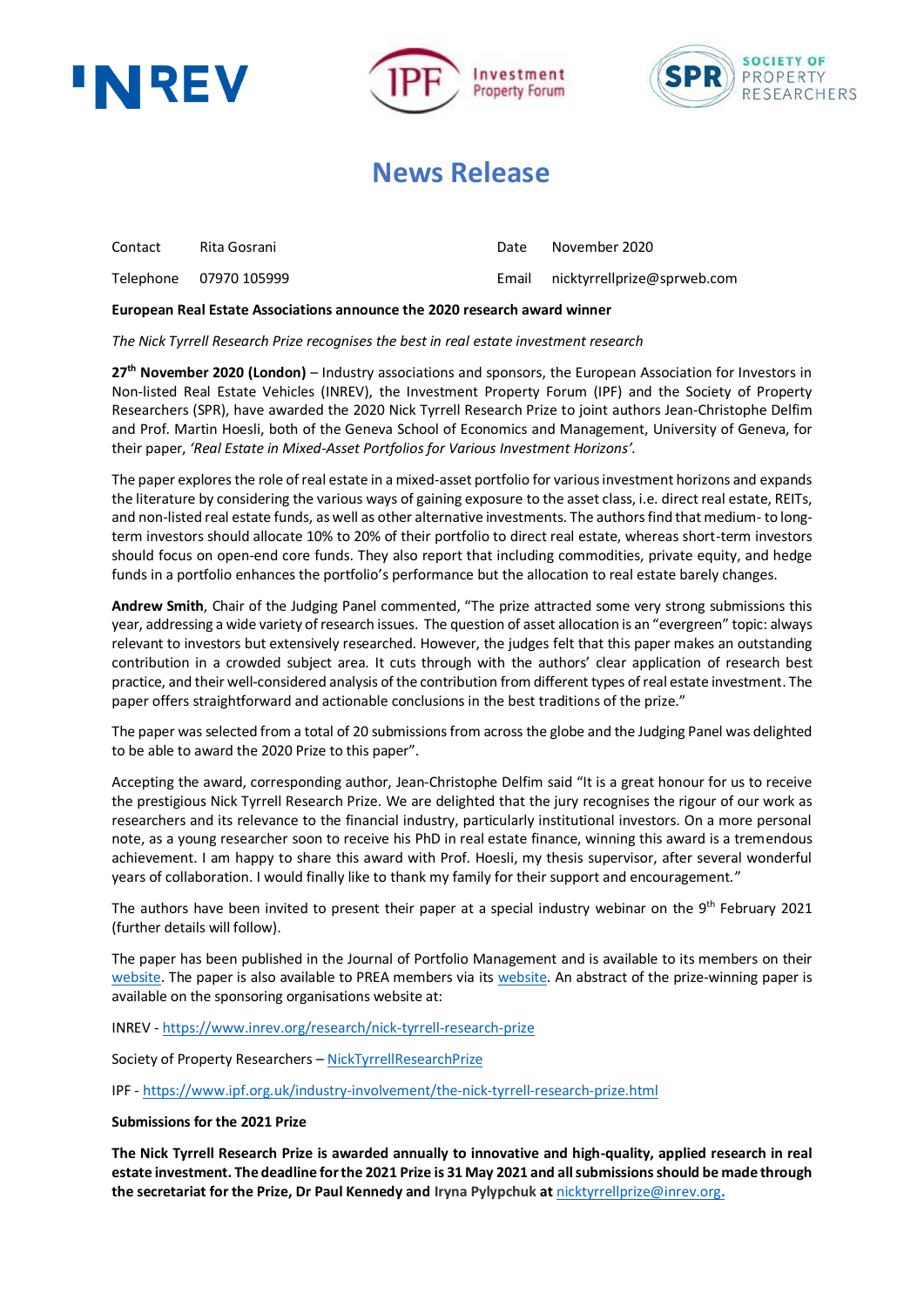





## **News Release**

| Contact | Rita Gosrani | Date | November 2020                     |
|---------|--------------|------|-----------------------------------|
|         |              |      | Email nicktyrrellprize@sprweb.com |

### **European Real Estate Associations announce the 2020 research award winner**

*The Nick Tyrrell Research Prize recognises the best in real estate investment research*

**27 th November 2020 (London)** – Industry associations and sponsors, the European Association for Investors in Non-listed Real Estate Vehicles (INREV), the Investment Property Forum (IPF) and the Society of Property Researchers (SPR), have awarded the 2020 Nick Tyrrell Research Prize to joint authors Jean-Christophe Delfim and Prof. Martin Hoesli, both of the Geneva School of Economics and Management, University of Geneva, for their paper, *'Real Estate in Mixed-Asset Portfolios for Various Investment Horizons'.*

The paper explores the role of real estate in a mixed-asset portfolio for various investment horizons and expands the literature by considering the various ways of gaining exposure to the asset class, i.e. direct real estate, REITs, and non-listed real estate funds, as well as other alternative investments. The authors find that medium- to longterm investors should allocate 10% to 20% of their portfolio to direct real estate, whereas short-term investors should focus on open-end core funds. They also report that including commodities, private equity, and hedge funds in a portfolio enhances the portfolio's performance but the allocation to real estate barely changes.

**Andrew Smith**, Chair of the Judging Panel commented, "The prize attracted some very strong submissions this year, addressing a wide variety of research issues. The question of asset allocation is an "evergreen" topic: always relevant to investors but extensively researched. However, the judges felt that this paper makes an outstanding contribution in a crowded subject area. It cuts through with the authors' clear application of research best practice, and their well-considered analysis of the contribution from different types of real estate investment. The paper offers straightforward and actionable conclusions in the best traditions of the prize."

The paper was selected from a total of 20 submissions from across the globe and the Judging Panel was delighted to be able to award the 2020 Prize to this paper".

Accepting the award, corresponding author, Jean-Christophe Delfim said "It is a great honour for us to receive the prestigious Nick Tyrrell Research Prize. We are delighted that the jury recognises the rigour of our work as researchers and its relevance to the financial industry, particularly institutional investors. On a more personal note, as a young researcher soon to receive his PhD in real estate finance, winning this award is a tremendous achievement. I am happy to share this award with Prof. Hoesli, my thesis supervisor, after several wonderful years of collaboration. I would finally like to thank my family for their support and encouragement."

The authors have been invited to present their paper at a special industry webinar on the 9<sup>th</sup> February 2021 (further details will follow).

The paper has been published in the Journal of Portfolio Management and is available to its members on their [website.](https://pa.pm-research.com/content/8/1/1.12) The paper is also available to PREA members via its [website.](https://www.prea.org/) An abstract of the prize-winning paper is available on the sponsoring organisations website at:

INREV - <https://www.inrev.org/research/nick-tyrrell-research-prize>

Society of Property Researchers – [NickTyrrellResearchPrize](https://www.sprweb.com/Public/Events/Nick-Tyrrell-Research-Prize/Public/Events/Nick-Tyrrell-Research-Prize/Nick-Tyrrell-Research-Prize.aspx?hkey=73f723eb-08db-4b96-843e-56e4ca98c905)

IPF - <https://www.ipf.org.uk/industry-involvement/the-nick-tyrrell-research-prize.html>

#### **Submissions for the 2021 Prize**

**The Nick Tyrrell Research Prize is awarded annually to innovative and high-quality, applied research in real estate investment. The deadline for the 2021 Prize is 31 May 2021 and all submissions should be made through the secretariat for the Prize, Dr Paul Kennedy and Iryna Pylypchuk at** [nicktyrrellprize@inrev.org](mailto:nicktyrrellprize@inrev.org.)**.**